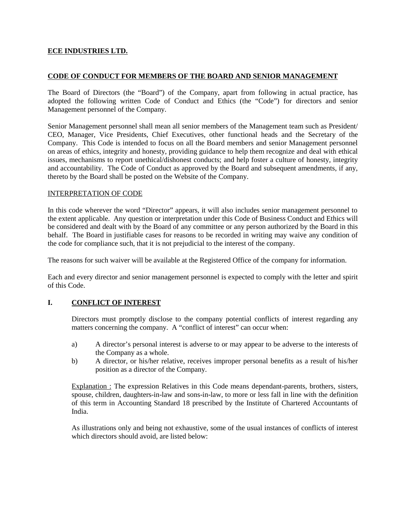### **ECE INDUSTRIES LTD.**

### **CODE OF CONDUCT FOR MEMBERS OF THE BOARD AND SENIOR MANAGEMENT**

The Board of Directors (the "Board") of the Company, apart from following in actual practice, has adopted the following written Code of Conduct and Ethics (the "Code") for directors and senior Management personnel of the Company.

Senior Management personnel shall mean all senior members of the Management team such as President/ CEO, Manager, Vice Presidents, Chief Executives, other functional heads and the Secretary of the Company. This Code is intended to focus on all the Board members and senior Management personnel on areas of ethics, integrity and honesty, providing guidance to help them recognize and deal with ethical issues, mechanisms to report unethical/dishonest conducts; and help foster a culture of honesty, integrity and accountability. The Code of Conduct as approved by the Board and subsequent amendments, if any, thereto by the Board shall be posted on the Website of the Company.

#### INTERPRETATION OF CODE

In this code wherever the word "Director" appears, it will also includes senior management personnel to the extent applicable. Any question or interpretation under this Code of Business Conduct and Ethics will be considered and dealt with by the Board of any committee or any person authorized by the Board in this behalf. The Board in justifiable cases for reasons to be recorded in writing may waive any condition of the code for compliance such, that it is not prejudicial to the interest of the company.

The reasons for such waiver will be available at the Registered Office of the company for information.

Each and every director and senior management personnel is expected to comply with the letter and spirit of this Code.

### **I. CONFLICT OF INTEREST**

Directors must promptly disclose to the company potential conflicts of interest regarding any matters concerning the company. A "conflict of interest" can occur when:

- a) A director's personal interest is adverse to or may appear to be adverse to the interests of the Company as a whole.
- b) A director, or his/her relative, receives improper personal benefits as a result of his/her position as a director of the Company.

Explanation : The expression Relatives in this Code means dependant-parents, brothers, sisters, spouse, children, daughters-in-law and sons-in-law, to more or less fall in line with the definition of this term in Accounting Standard 18 prescribed by the Institute of Chartered Accountants of India.

As illustrations only and being not exhaustive, some of the usual instances of conflicts of interest which directors should avoid, are listed below: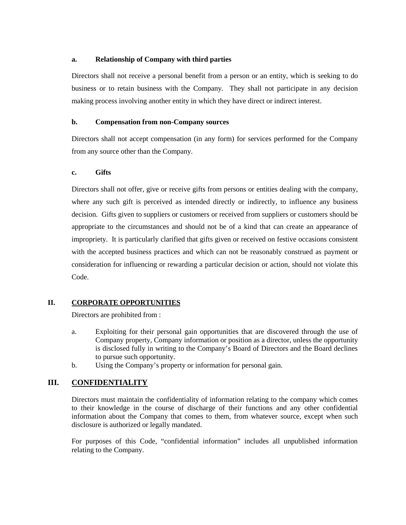### **a. Relationship of Company with third parties**

Directors shall not receive a personal benefit from a person or an entity, which is seeking to do business or to retain business with the Company. They shall not participate in any decision making process involving another entity in which they have direct or indirect interest.

### **b. Compensation from non-Company sources**

Directors shall not accept compensation (in any form) for services performed for the Company from any source other than the Company.

### **c. Gifts**

Directors shall not offer, give or receive gifts from persons or entities dealing with the company, where any such gift is perceived as intended directly or indirectly, to influence any business decision. Gifts given to suppliers or customers or received from suppliers or customers should be appropriate to the circumstances and should not be of a kind that can create an appearance of impropriety. It is particularly clarified that gifts given or received on festive occasions consistent with the accepted business practices and which can not be reasonably construed as payment or consideration for influencing or rewarding a particular decision or action, should not violate this Code.

## **II. CORPORATE OPPORTUNITIES**

Directors are prohibited from :

- a. Exploiting for their personal gain opportunities that are discovered through the use of Company property, Company information or position as a director, unless the opportunity is disclosed fully in writing to the Company's Board of Directors and the Board declines to pursue such opportunity.
- b. Using the Company's property or information for personal gain.

# **III. CONFIDENTIALITY**

Directors must maintain the confidentiality of information relating to the company which comes to their knowledge in the course of discharge of their functions and any other confidential information about the Company that comes to them, from whatever source, except when such disclosure is authorized or legally mandated.

For purposes of this Code, "confidential information" includes all unpublished information relating to the Company.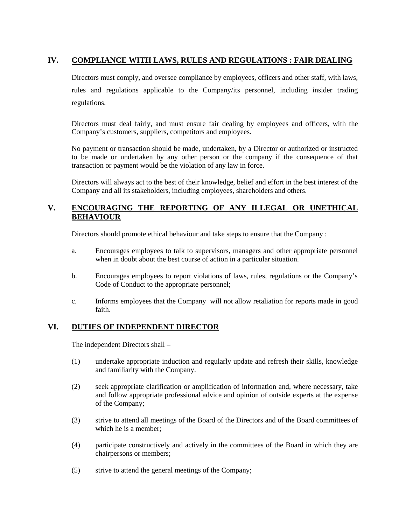# **IV. COMPLIANCE WITH LAWS, RULES AND REGULATIONS : FAIR DEALING**

Directors must comply, and oversee compliance by employees, officers and other staff, with laws, rules and regulations applicable to the Company/its personnel, including insider trading regulations.

Directors must deal fairly, and must ensure fair dealing by employees and officers, with the Company's customers, suppliers, competitors and employees.

No payment or transaction should be made, undertaken, by a Director or authorized or instructed to be made or undertaken by any other person or the company if the consequence of that transaction or payment would be the violation of any law in force.

Directors will always act to the best of their knowledge, belief and effort in the best interest of the Company and all its stakeholders, including employees, shareholders and others.

## **V. ENCOURAGING THE REPORTING OF ANY ILLEGAL OR UNETHICAL BEHAVIOUR**

Directors should promote ethical behaviour and take steps to ensure that the Company :

- a. Encourages employees to talk to supervisors, managers and other appropriate personnel when in doubt about the best course of action in a particular situation.
- b. Encourages employees to report violations of laws, rules, regulations or the Company's Code of Conduct to the appropriate personnel;
- c. Informs employees that the Company will not allow retaliation for reports made in good faith.

## **VI. DUTIES OF INDEPENDENT DIRECTOR**

The independent Directors shall –

- (1) undertake appropriate induction and regularly update and refresh their skills, knowledge and familiarity with the Company.
- (2) seek appropriate clarification or amplification of information and, where necessary, take and follow appropriate professional advice and opinion of outside experts at the expense of the Company;
- (3) strive to attend all meetings of the Board of the Directors and of the Board committees of which he is a member;
- (4) participate constructively and actively in the committees of the Board in which they are chairpersons or members;
- (5) strive to attend the general meetings of the Company;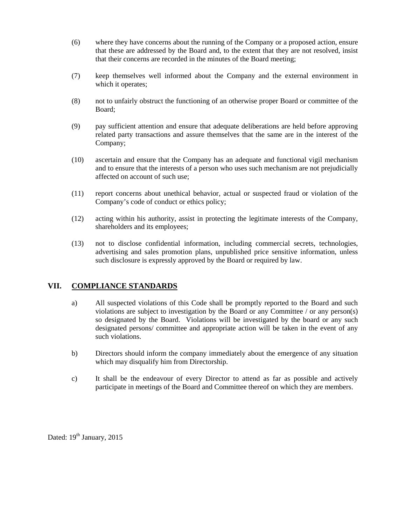- (6) where they have concerns about the running of the Company or a proposed action, ensure that these are addressed by the Board and, to the extent that they are not resolved, insist that their concerns are recorded in the minutes of the Board meeting;
- (7) keep themselves well informed about the Company and the external environment in which it operates;
- (8) not to unfairly obstruct the functioning of an otherwise proper Board or committee of the Board;
- (9) pay sufficient attention and ensure that adequate deliberations are held before approving related party transactions and assure themselves that the same are in the interest of the Company;
- (10) ascertain and ensure that the Company has an adequate and functional vigil mechanism and to ensure that the interests of a person who uses such mechanism are not prejudicially affected on account of such use;
- (11) report concerns about unethical behavior, actual or suspected fraud or violation of the Company's code of conduct or ethics policy;
- (12) acting within his authority, assist in protecting the legitimate interests of the Company, shareholders and its employees;
- (13) not to disclose confidential information, including commercial secrets, technologies, advertising and sales promotion plans, unpublished price sensitive information, unless such disclosure is expressly approved by the Board or required by law.

# **VII. COMPLIANCE STANDARDS**

- a) All suspected violations of this Code shall be promptly reported to the Board and such violations are subject to investigation by the Board or any Committee / or any person(s) so designated by the Board. Violations will be investigated by the board or any such designated persons/ committee and appropriate action will be taken in the event of any such violations.
- b) Directors should inform the company immediately about the emergence of any situation which may disqualify him from Directorship.
- c) It shall be the endeavour of every Director to attend as far as possible and actively participate in meetings of the Board and Committee thereof on which they are members.

Dated:  $19<sup>th</sup> January, 2015$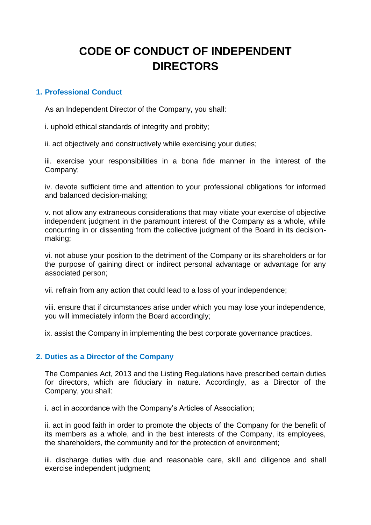# **CODE OF CONDUCT OF INDEPENDENT DIRECTORS**

# **1. Professional Conduct**

As an Independent Director of the Company, you shall:

i. uphold ethical standards of integrity and probity;

ii. act objectively and constructively while exercising your duties;

iii. exercise your responsibilities in a bona fide manner in the interest of the Company;

iv. devote sufficient time and attention to your professional obligations for informed and balanced decision-making;

v. not allow any extraneous considerations that may vitiate your exercise of objective independent judgment in the paramount interest of the Company as a whole, while concurring in or dissenting from the collective judgment of the Board in its decisionmaking;

vi. not abuse your position to the detriment of the Company or its shareholders or for the purpose of gaining direct or indirect personal advantage or advantage for any associated person;

vii. refrain from any action that could lead to a loss of your independence;

viii. ensure that if circumstances arise under which you may lose your independence, you will immediately inform the Board accordingly;

ix. assist the Company in implementing the best corporate governance practices.

# **2. Duties as a Director of the Company**

The Companies Act, 2013 and the Listing Regulations have prescribed certain duties for directors, which are fiduciary in nature. Accordingly, as a Director of the Company, you shall:

i. act in accordance with the Company's Articles of Association;

ii. act in good faith in order to promote the objects of the Company for the benefit of its members as a whole, and in the best interests of the Company, its employees, the shareholders, the community and for the protection of environment;

iii. discharge duties with due and reasonable care, skill and diligence and shall exercise independent judgment;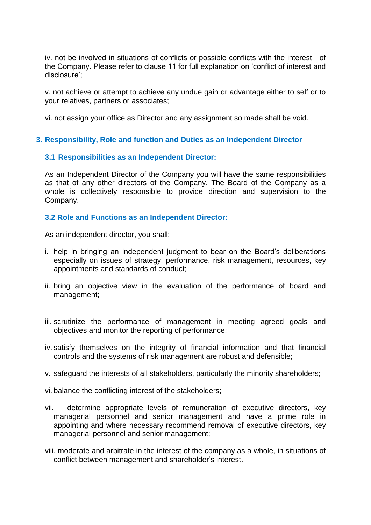iv. not be involved in situations of conflicts or possible conflicts with the interest of the Company. Please refer to clause 11 for full explanation on 'conflict of interest and disclosure';

v. not achieve or attempt to achieve any undue gain or advantage either to self or to your relatives, partners or associates;

vi. not assign your office as Director and any assignment so made shall be void.

# **3. Responsibility, Role and function and Duties as an Independent Director**

## **3.1 Responsibilities as an Independent Director:**

As an Independent Director of the Company you will have the same responsibilities as that of any other directors of the Company. The Board of the Company as a whole is collectively responsible to provide direction and supervision to the Company.

## **3.2 Role and Functions as an Independent Director:**

As an independent director, you shall:

- i. help in bringing an independent judgment to bear on the Board's deliberations especially on issues of strategy, performance, risk management, resources, key appointments and standards of conduct;
- ii. bring an objective view in the evaluation of the performance of board and management;
- iii. scrutinize the performance of management in meeting agreed goals and objectives and monitor the reporting of performance;
- iv. satisfy themselves on the integrity of financial information and that financial controls and the systems of risk management are robust and defensible;
- v. safeguard the interests of all stakeholders, particularly the minority shareholders;
- vi. balance the conflicting interest of the stakeholders;
- vii. determine appropriate levels of remuneration of executive directors, key managerial personnel and senior management and have a prime role in appointing and where necessary recommend removal of executive directors, key managerial personnel and senior management;
- viii. moderate and arbitrate in the interest of the company as a whole, in situations of conflict between management and shareholder's interest.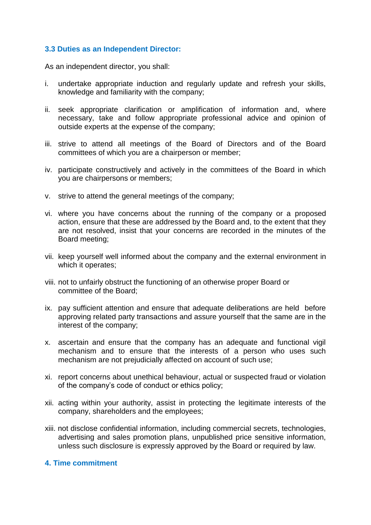# **3.3 Duties as an Independent Director:**

As an independent director, you shall:

- i. undertake appropriate induction and regularly update and refresh your skills, knowledge and familiarity with the company;
- ii. seek appropriate clarification or amplification of information and, where necessary, take and follow appropriate professional advice and opinion of outside experts at the expense of the company;
- iii. strive to attend all meetings of the Board of Directors and of the Board committees of which you are a chairperson or member;
- iv. participate constructively and actively in the committees of the Board in which you are chairpersons or members;
- v. strive to attend the general meetings of the company;
- vi. where you have concerns about the running of the company or a proposed action, ensure that these are addressed by the Board and, to the extent that they are not resolved, insist that your concerns are recorded in the minutes of the Board meeting;
- vii. keep yourself well informed about the company and the external environment in which it operates;
- viii. not to unfairly obstruct the functioning of an otherwise proper Board or committee of the Board;
- ix. pay sufficient attention and ensure that adequate deliberations are held before approving related party transactions and assure yourself that the same are in the interest of the company;
- x. ascertain and ensure that the company has an adequate and functional vigil mechanism and to ensure that the interests of a person who uses such mechanism are not prejudicially affected on account of such use;
- xi. report concerns about unethical behaviour, actual or suspected fraud or violation of the company's code of conduct or ethics policy;
- xii. acting within your authority, assist in protecting the legitimate interests of the company, shareholders and the employees;
- xiii. not disclose confidential information, including commercial secrets, technologies, advertising and sales promotion plans, unpublished price sensitive information, unless such disclosure is expressly approved by the Board or required by law.

## **4. Time commitment**